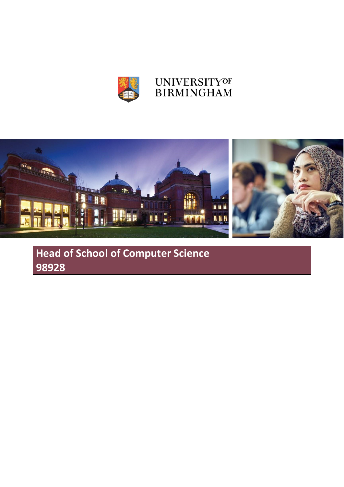

# **UNIVERSITYOF BIRMINGHAM**



**Head of School of Computer Science 98928**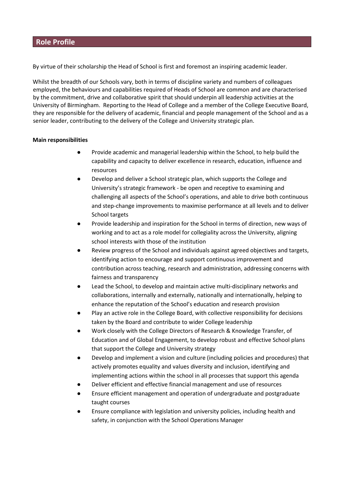# **Role Profile**

By virtue of their scholarship the Head of School is first and foremost an inspiring academic leader.

Whilst the breadth of our Schools vary, both in terms of discipline variety and numbers of colleagues employed, the behaviours and capabilities required of Heads of School are common and are characterised by the commitment, drive and collaborative spirit that should underpin all leadership activities at the University of Birmingham. Reporting to the Head of College and a member of the College Executive Board, they are responsible for the delivery of academic, financial and people management of the School and as a senior leader, contributing to the delivery of the College and University strategic plan.

# **Main responsibilities**

- Provide academic and managerial leadership within the School, to help build the capability and capacity to deliver excellence in research, education, influence and resources
- Develop and deliver a School strategic plan, which supports the College and University's strategic framework - be open and receptive to examining and challenging all aspects of the School's operations, and able to drive both continuous and step-change improvements to maximise performance at all levels and to deliver School targets
- Provide leadership and inspiration for the School in terms of direction, new ways of working and to act as a role model for collegiality across the University, aligning school interests with those of the institution
- Review progress of the School and individuals against agreed objectives and targets, identifying action to encourage and support continuous improvement and contribution across teaching, research and administration, addressing concerns with fairness and transparency
- Lead the School, to develop and maintain active multi-disciplinary networks and collaborations, internally and externally, nationally and internationally, helping to enhance the reputation of the School's education and research provision
- Play an active role in the College Board, with collective responsibility for decisions taken by the Board and contribute to wider College leadership
- Work closely with the College Directors of Research & Knowledge Transfer, of Education and of Global Engagement, to develop robust and effective School plans that support the College and University strategy
- Develop and implement a vision and culture (including policies and procedures) that actively promotes equality and values diversity and inclusion, identifying and implementing actions within the school in all processes that support this agenda
- Deliver efficient and effective financial management and use of resources
- Ensure efficient management and operation of undergraduate and postgraduate taught courses
- Ensure compliance with legislation and university policies, including health and safety, in conjunction with the School Operations Manager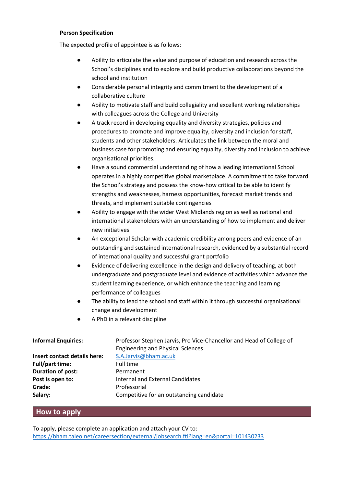# **Person Specification**

The expected profile of appointee is as follows:

- Ability to articulate the value and purpose of education and research across the School's disciplines and to explore and build productive collaborations beyond the school and institution
- Considerable personal integrity and commitment to the development of a collaborative culture
- Ability to motivate staff and build collegiality and excellent working relationships with colleagues across the College and University
- A track record in developing equality and diversity strategies, policies and procedures to promote and improve equality, diversity and inclusion for staff, students and other stakeholders. Articulates the link between the moral and business case for promoting and ensuring equality, diversity and inclusion to achieve organisational priorities.
- Have a sound commercial understanding of how a leading international School operates in a highly competitive global marketplace. A commitment to take forward the School's strategy and possess the know-how critical to be able to identify strengths and weaknesses, harness opportunities, forecast market trends and threats, and implement suitable contingencies
- Ability to engage with the wider West Midlands region as well as national and international stakeholders with an understanding of how to implement and deliver new initiatives
- An exceptional Scholar with academic credibility among peers and evidence of an outstanding and sustained international research, evidenced by a substantial record of international quality and successful grant portfolio
- Evidence of delivering excellence in the design and delivery of teaching, at both undergraduate and postgraduate level and evidence of activities which advance the student learning experience, or which enhance the teaching and learning performance of colleagues
- The ability to lead the school and staff within it through successful organisational change and development
- A PhD in a relevant discipline

| <b>Informal Enquiries:</b>          | Professor Stephen Jarvis, Pro Vice-Chancellor and Head of College of |
|-------------------------------------|----------------------------------------------------------------------|
|                                     | <b>Engineering and Physical Sciences</b>                             |
| <b>Insert contact details here:</b> | S.A.Jarvis@bham.ac.uk                                                |
| <b>Full/part time:</b>              | Full time                                                            |
| Duration of post:                   | Permanent                                                            |
| Post is open to:                    | <b>Internal and External Candidates</b>                              |
| Grade:                              | Professorial                                                         |
| Salary:                             | Competitive for an outstanding candidate                             |

# **How to apply**

To apply, please complete an application and attach your CV to: <https://bham.taleo.net/careersection/external/jobsearch.ftl?lang=en&portal=101430233>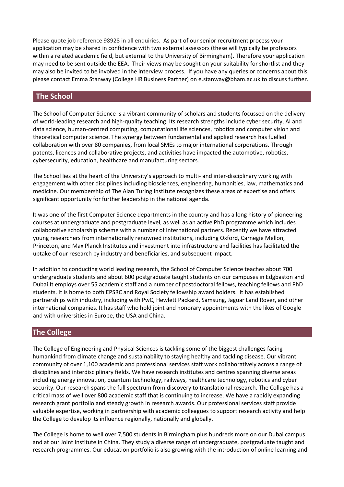Please quote job reference 98928 in all enquiries. As part of our senior recruitment process your application may be shared in confidence with two external assessors (these will typically be professors within a related academic field, but external to the University of Birmingham). Therefore your application may need to be sent outside the EEA. Their views may be sought on your suitability for shortlist and they may also be invited to be involved in the interview process. If you have any queries or concerns about this, please contact Emma Stanway (College HR Business Partner) on e.stanway@bham.ac.uk to discuss further.

# **The School**

The School of Computer Science is a vibrant community of scholars and students focussed on the delivery of world-leading research and high-quality teaching. Its research strengths include cyber security, AI and data science, human-centred computing, computational life sciences, robotics and computer vision and theoretical computer science. The synergy between fundamental and applied research has fuelled collaboration with over 80 companies, from local SMEs to major international corporations. Through patents, licences and collaborative projects, and activities have impacted the automotive, robotics, cybersecurity, education, healthcare and manufacturing sectors.

The School lies at the heart of the University's approach to multi- and inter-disciplinary working with engagement with other disciplines including biosciences, engineering, humanities, law, mathematics and medicine. Our membership of The Alan Turing Institute recognizes these areas of expertise and offers significant opportunity for further leadership in the national agenda.

It was one of the first Computer Science departments in the country and has a long history of pioneering courses at undergraduate and postgraduate level, as well as an active PhD programme which includes collaborative scholarship scheme with a number of international partners. Recently we have attracted young researchers from internationally renowned institutions, including Oxford, Carnegie Mellon, Princeton, and Max Planck Institutes and investment into infrastructure and facilities has facilitated the uptake of our research by industry and beneficiaries, and subsequent impact.

In addition to conducting world leading research, the School of Computer Science teaches about 700 undergraduate students and about 600 postgraduate taught students on our campuses in Edgbaston and Dubai.It employs over 55 academic staff and a number of postdoctoral fellows, teaching fellows and PhD students. It is home to both EPSRC and Royal Society fellowship award holders. It has established partnerships with industry, including with PwC, Hewlett Packard, Samsung, Jaguar Land Rover, and other international companies. It has staff who hold joint and honorary appointments with the likes of Google and with universities in Europe, the USA and China.

# **The College**

The College of Engineering and Physical Sciences is tackling some of the biggest challenges facing humankind from climate change and sustainability to staying healthy and tackling disease. Our vibrant community of over 1,100 academic and professional services staff work collaboratively across a range of disciplines and interdisciplinary fields. We have research institutes and centres spanning diverse areas including energy innovation, quantum technology, railways, healthcare technology, robotics and cyber security. Our research spans the full spectrum from discovery to translational research. The College has a critical mass of well over 800 academic staff that is continuing to increase. We have a rapidly expanding research grant portfolio and steady growth in research awards. Our professional services staff provide valuable expertise, working in partnership with academic colleagues to support research activity and help the College to develop its influence regionally, nationally and globally.

The College is home to well over 7,500 students in Birmingham plus hundreds more on our Dubai campus and at our Joint Institute in China. They study a diverse range of undergraduate, postgraduate taught and research programmes. Our education portfolio is also growing with the introduction of online learning and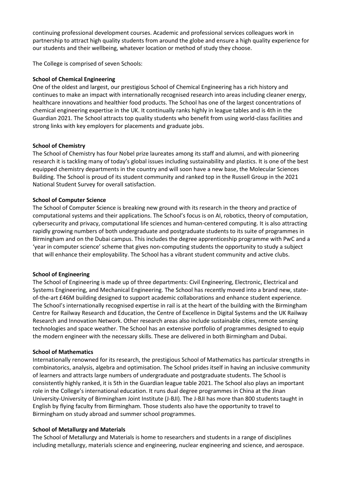continuing professional development courses. Academic and professional services colleagues work in partnership to attract high quality students from around the globe and ensure a high quality experience for our students and their wellbeing, whatever location or method of study they choose.

The College is comprised of seven Schools:

# **School of Chemical Engineering**

One of the oldest and largest, our prestigious School of Chemical Engineering has a rich history and continues to make an impact with internationally recognised research into areas including cleaner energy, healthcare innovations and healthier food products. The School has one of the largest concentrations of chemical engineering expertise in the UK. It continually ranks highly in league tables and is 4th in the Guardian 2021. The School attracts top quality students who benefit from using world-class facilities and strong links with key employers for placements and graduate jobs.

#### **School of Chemistry**

The School of Chemistry has four Nobel prize laureates among its staff and alumni, and with pioneering research it is tackling many of today's global issues including sustainability and plastics. It is one of the best equipped chemistry departments in the country and will soon have a new base, the Molecular Sciences Building. The School is proud of its student community and ranked top in the Russell Group in the 2021 National Student Survey for overall satisfaction.

#### **School of Computer Science**

The School of Computer Science is breaking new ground with its research in the theory and practice of computational systems and their applications. The School's focus is on AI, robotics, theory of computation, cybersecurity and privacy, computational life sciences and human-centered computing. It is also attracting rapidly growing numbers of both undergraduate and postgraduate students to its suite of programmes in Birmingham and on the Dubai campus. This includes the degree apprenticeship programme with PwC and a 'year in computer science' scheme that gives non-computing students the opportunity to study a subject that will enhance their employability. The School has a vibrant student community and active clubs.

#### **School of Engineering**

The School of Engineering is made up of three departments: Civil Engineering, Electronic, Electrical and Systems Engineering, and Mechanical Engineering. The School has recently moved into a brand new, stateof-the-art £46M building designed to support academic collaborations and enhance student experience. The School's internationally recognised expertise in rail is at the heart of the building with the Birmingham Centre for Railway Research and Education, the Centre of Excellence in Digital Systems and the UK Railway Research and Innovation Network. Other research areas also include sustainable cities, remote sensing technologies and space weather. The School has an extensive portfolio of programmes designed to equip the modern engineer with the necessary skills. These are delivered in both Birmingham and Dubai.

#### **School of Mathematics**

Internationally renowned for its research, the prestigious School of Mathematics has particular strengths in combinatorics, analysis, algebra and optimisation. The School prides itself in having an inclusive community of learners and attracts large numbers of undergraduate and postgraduate students. The School is consistently highly ranked, it is 5th in the Guardian league table 2021. The School also plays an important role in the College's international education. It runs dual degree programmes in China at the Jinan University-University of Birmingham Joint Institute (J-BJI). The J-BJI has more than 800 students taught in English by flying faculty from Birmingham. Those students also have the opportunity to travel to Birmingham on study abroad and summer school programmes.

#### **School of Metallurgy and Materials**

The School of Metallurgy and Materials is home to researchers and students in a range of disciplines including metallurgy, materials science and engineering, nuclear engineering and science, and aerospace.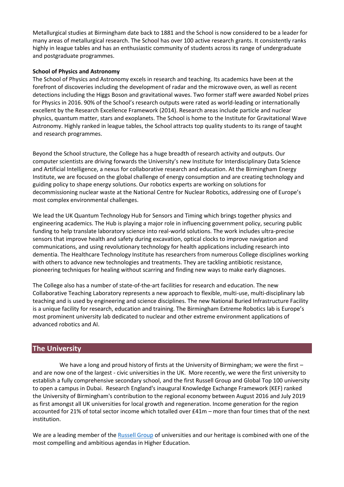Metallurgical studies at Birmingham date back to 1881 and the School is now considered to be a leader for many areas of metallurgical research. The School has over 100 active research grants. It consistently ranks highly in league tables and has an enthusiastic community of students across its range of undergraduate and postgraduate programmes.

# **School of Physics and Astronomy**

The School of Physics and Astronomy excels in research and teaching. Its academics have been at the forefront of discoveries including the development of radar and the microwave oven, as well as recent detections including the Higgs Boson and gravitational waves. Two former staff were awarded Nobel prizes for Physics in 2016. 90% of the School's research outputs were rated as world-leading or internationally excellent by the Research Excellence Framework (2014). Research areas include particle and nuclear physics, quantum matter, stars and exoplanets. The School is home to the Institute for Gravitational Wave Astronomy. Highly ranked in league tables, the School attracts top quality students to its range of taught and research programmes.

Beyond the School structure, the College has a huge breadth of research activity and outputs. Our computer scientists are driving forwards the University's new Institute for Interdisciplinary Data Science and Artificial Intelligence, a nexus for collaborative research and education. At the Birmingham Energy Institute, we are focused on the global challenge of energy consumption and are creating technology and guiding policy to shape energy solutions. Our robotics experts are working on solutions for decommissioning nuclear waste at the National Centre for Nuclear Robotics, addressing one of Europe's most complex environmental challenges.

We lead the UK Quantum Technology Hub for Sensors and Timing which brings together physics and engineering academics. The Hub is playing a major role in influencing government policy, securing public funding to help translate laboratory science into real-world solutions. The work includes ultra-precise sensors that improve health and safety during excavation, optical clocks to improve navigation and communications, and using revolutionary technology for health applications including research into dementia. The Healthcare Technology Institute has researchers from numerous College disciplines working with others to advance new technologies and treatments. They are tackling antibiotic resistance, pioneering techniques for healing without scarring and finding new ways to make early diagnoses.

The College also has a number of state-of-the-art facilities for research and education. The new Collaborative Teaching Laboratory represents a new approach to flexible, multi-use, multi-disciplinary lab teaching and is used by engineering and science disciplines. The new National Buried Infrastructure Facility is a unique facility for research, education and training. The Birmingham Extreme Robotics lab is Europe's most prominent university lab dedicated to nuclear and other extreme environment applications of advanced robotics and AI.

# **The University**

We have a long and proud history of firsts at the University of Birmingham; we were the first – and are now one of the largest - civic universities in the UK. More recently, we were the first university to establish a fully comprehensive secondary school, and the first Russell Group and Global Top 100 university to open a campus in Dubai. Research England's inaugural Knowledge Exchange Framework (KEF) ranked the University of Birmingham's contribution to the regional economy between August 2016 and July 2019 as first amongst all UK universities for local growth and regeneration. Income generation for the region accounted for 21% of total sector income which totalled over £41m – more than four times that of the next institution.

We are a leading member of the [Russell Group](https://russellgroup.ac.uk/) of universities and our heritage is combined with one of the most compelling and ambitious agendas in Higher Education.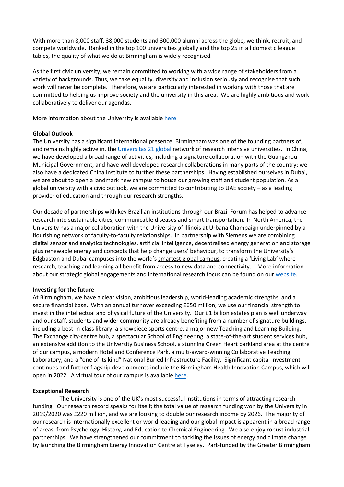With more than 8,000 staff, 38,000 students and 300,000 alumni across the globe, we think, recruit, and compete worldwide. Ranked in the top 100 universities globally and the top 25 in all domestic league tables, the quality of what we do at Birmingham is widely recognised.

As the first civic university, we remain committed to working with a wide range of stakeholders from a variety of backgrounds. Thus, we take equality, diversity and inclusion seriously and recognise that such work will never be complete. Therefore, we are particularly interested in working with those that are committed to helping us improve society and the university in this area. We are highly ambitious and work collaboratively to deliver our agendas.

More information about the University is availabl[e here.](https://www.birmingham.ac.uk/university/index.aspx)

# **Global Outlook**

The University has a significant international presence. Birmingham was one of the founding partners of, and remains highly active in, th[e Universitas 21 global](http://www.universitas21.com/) network of research intensive universities. In China, we have developed a broad range of activities, including a signature collaboration with the Guangzhou Municipal Government, and have well developed research collaborations in many parts of the country; we also have a dedicated China Institute to further these partnerships. Having established ourselves in Dubai, we are about to open a landmark new campus to house our growing staff and student population. As a global university with a civic outlook, we are committed to contributing to UAE society – as a leading provider of education and through our research strengths.

Our decade of partnerships with key Brazilian institutions through our Brazil Forum has helped to advance research into sustainable cities, communicable diseases and smart transportation. In North America, the University has a major collaboration with the University of Illinois at Urbana Champaign underpinned by a flourishing network of faculty-to-faculty relationships. In partnership with Siemens we are combining digital sensor and analytics technologies, artificial intelligence, decentralised energy generation and storage plus renewable energy and concepts that help change users' behaviour, to transform the University's Edgbaston and Dubai campuses into the world's [smartest global campus](https://www.birmingham.ac.uk/university/building/smart-campus/index.aspx), creating a 'Living Lab' where research, teaching and learning all benefit from access to new data and connectivity. More information about our strategic global engagements and international research focus can be found on our [website.](http://www.birmingham.ac.uk/International/global-engagement/index.aspx)

# **Investing for the future**

At Birmingham, we have a clear vision, ambitious leadership, world-leading academic strengths, and a secure financial base. With an annual turnover exceeding £650 million, we use our financial strength to invest in the intellectual and physical future of the University. Our £1 billion estates plan is well underway and our staff, students and wider community are already benefiting from a number of signature buildings, including a best-in-class library, a showpiece sports centre, a major new Teaching and Learning Building, The Exchange city-centre hub, a spectacular School of Engineering, a state-of-the-art student services hub, an extensive addition to the University Business School, a stunning Green Heart parkland area at the centre of our campus, a modern Hotel and Conference Park, a multi-award-winning Collaborative Teaching Laboratory, and a "one of its kind" National Buried Infrastructure Facility. Significant capital investment continues and further flagship developments include the Birmingham Health Innovation Campus, which will open in 2022. A virtual tour of our campus is available [here.](https://www.birmingham.ac.uk/virtual-tour/#s=pano37)

# **Exceptional Research**

The University is one of the UK's most successful institutions in terms of attracting research funding. Our research record speaks for itself; the total value of research funding won by the University in 2019/2020 was £220 million, and we are looking to double our research income by 2026. The majority of our research is internationally excellent or world leading and our global impact is apparent in a broad range of areas, from Psychology, History, and Education to Chemical Engineering. We also enjoy robust industrial partnerships. We have strengthened our commitment to tackling the issues of energy and climate change by launching the Birmingham Energy Innovation Centre at Tyseley. Part-funded by the Greater Birmingham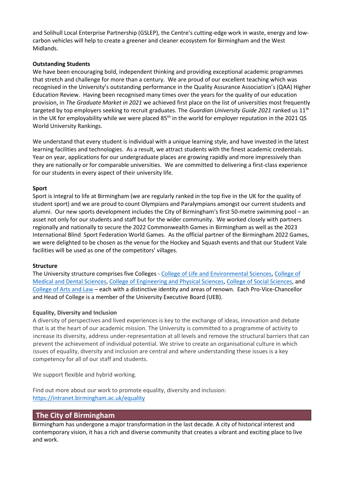and Solihull Local Enterprise Partnership (GSLEP), the Centre's cutting-edge work in waste, energy and lowcarbon vehicles will help to create a greener and cleaner ecosystem for Birmingham and the West Midlands.

# **Outstanding Students**

We have been encouraging bold, independent thinking and providing exceptional academic programmes that stretch and challenge for more than a century. We are proud of our excellent teaching which was recognised in the University's outstanding performance in the Quality Assurance Association's (QAA) Higher Education Review. Having been recognised many times over the years for the quality of our education provision, in *The Graduate Market in 2021* we achieved first place on the list of universities most frequently targeted by top employers seeking to recruit graduates. The *Guardian University Guide 2021* ranked us 11th in the UK for employability while we were placed  $85<sup>th</sup>$  in the world for employer reputation in the 2021 QS World University Rankings.

We understand that every student is individual with a unique learning style, and have invested in the latest learning facilities and technologies. As a result, we attract students with the finest academic credentials. Year on year, applications for our undergraduate places are growing rapidly and more impressively than they are nationally or for comparable universities. We are committed to delivering a first-class experience for our students in every aspect of their university life.

# **Sport**

Sport is integral to life at Birmingham (we are regularly ranked in the top five in the UK for the quality of student sport) and we are proud to count Olympians and Paralympians amongst our current students and alumni. Our new sports development includes the City of Birmingham's first 50-metre swimming pool – an asset not only for our students and staff but for the wider community. We worked closely with partners regionally and nationally to secure the 2022 Commonwealth Games in Birmingham as well as the 2023 International Blind Sport Federation World Games. As the official partner of the Birmingham 2022 Games, we were delighted to be chosen as the venue for the Hockey and Squash events and that our Student Vale facilities will be used as one of the competitors' villages.

# **Structure**

The University structure comprises five Colleges - [College of Life and Environmental Sciences,](https://www.birmingham.ac.uk/university/colleges/les/index.aspx) [College of](https://www.birmingham.ac.uk/university/colleges/mds/index.aspx)  [Medical and Dental Sciences,](https://www.birmingham.ac.uk/university/colleges/mds/index.aspx) [College of Engineering and Physical Sciences,](https://www.birmingham.ac.uk/university/colleges/eps/index.aspx) [College of Social Sciences,](https://www.birmingham.ac.uk/university/colleges/socsci/index.aspx) and [College of Arts and Law](https://www.birmingham.ac.uk/university/colleges/artslaw/index.aspx) – each with a distinctive identity and areas of renown. Each Pro-Vice-Chancellor and Head of College is a member of the University Executive Board (UEB).

# **Equality, Diversity and Inclusion**

A diversity of perspectives and lived experiences is key to the exchange of ideas, innovation and debate that is at the heart of our academic mission. The University is committed to a programme of activity to increase its diversity, address under-representation at all levels and remove the structural barriers that can prevent the achievement of individual potential. We strive to create an organisational culture in which issues of equality, diversity and inclusion are central and where understanding these issues is a key competency for all of our staff and students.

We support flexible and hybrid working.

Find out more about our work to promote equality, diversity and inclusion: <https://intranet.birmingham.ac.uk/equality>

# **The City of Birmingham**

Birmingham has undergone a major transformation in the last decade. A city of historical interest and contemporary vision, it has a rich and diverse community that creates a vibrant and exciting place to live and work.